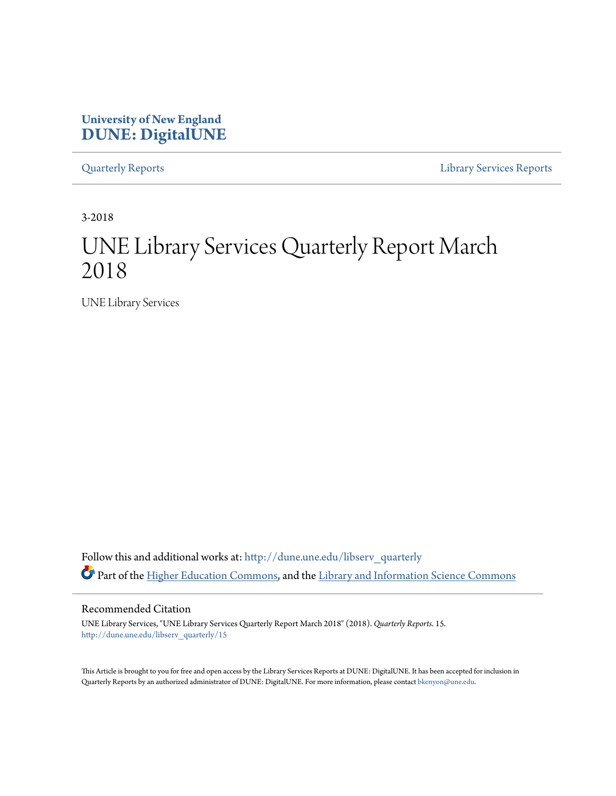# **University of New England [DUNE: DigitalUNE](http://dune.une.edu?utm_source=dune.une.edu%2Flibserv_quarterly%2F15&utm_medium=PDF&utm_campaign=PDFCoverPages)**

[Quarterly Reports](http://dune.une.edu/libserv_quarterly?utm_source=dune.une.edu%2Flibserv_quarterly%2F15&utm_medium=PDF&utm_campaign=PDFCoverPages) [Library Services Reports](http://dune.une.edu/libserv_reports?utm_source=dune.une.edu%2Flibserv_quarterly%2F15&utm_medium=PDF&utm_campaign=PDFCoverPages)

3-2018

# UNE Library Services Quarterly Report March 2018

UNE Library Services

Follow this and additional works at: [http://dune.une.edu/libserv\\_quarterly](http://dune.une.edu/libserv_quarterly?utm_source=dune.une.edu%2Flibserv_quarterly%2F15&utm_medium=PDF&utm_campaign=PDFCoverPages) Part of the [Higher Education Commons](http://network.bepress.com/hgg/discipline/1245?utm_source=dune.une.edu%2Flibserv_quarterly%2F15&utm_medium=PDF&utm_campaign=PDFCoverPages), and the [Library and Information Science Commons](http://network.bepress.com/hgg/discipline/1018?utm_source=dune.une.edu%2Flibserv_quarterly%2F15&utm_medium=PDF&utm_campaign=PDFCoverPages)

Recommended Citation

UNE Library Services, "UNE Library Services Quarterly Report March 2018" (2018). *Quarterly Reports*. 15. [http://dune.une.edu/libserv\\_quarterly/15](http://dune.une.edu/libserv_quarterly/15?utm_source=dune.une.edu%2Flibserv_quarterly%2F15&utm_medium=PDF&utm_campaign=PDFCoverPages)

This Article is brought to you for free and open access by the Library Services Reports at DUNE: DigitalUNE. It has been accepted for inclusion in Quarterly Reports by an authorized administrator of DUNE: DigitalUNE. For more information, please contact [bkenyon@une.edu.](mailto:bkenyon@une.edu)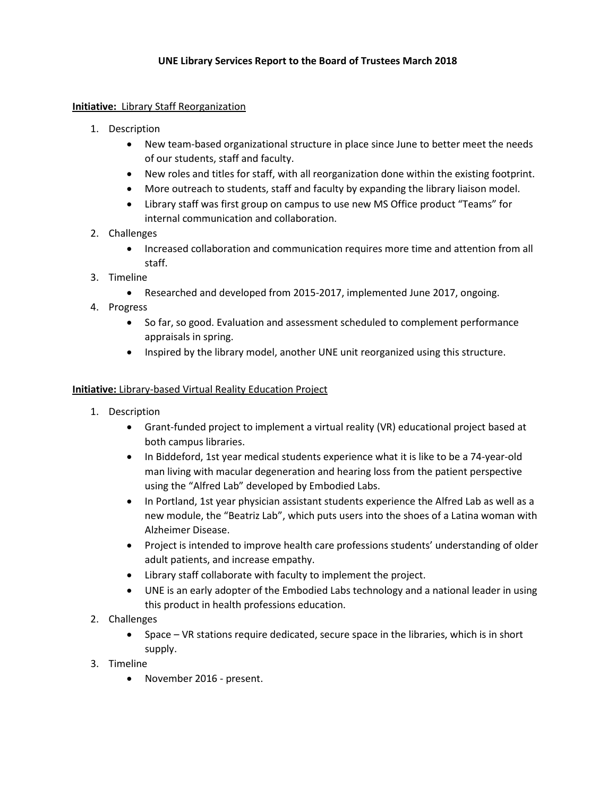## **Initiative:** Library Staff Reorganization

- 1. Description
	- New team-based organizational structure in place since June to better meet the needs of our students, staff and faculty.
	- New roles and titles for staff, with all reorganization done within the existing footprint.
	- More outreach to students, staff and faculty by expanding the library liaison model.
	- Library staff was first group on campus to use new MS Office product "Teams" for internal communication and collaboration.
- 2. Challenges
	- Increased collaboration and communication requires more time and attention from all staff.
- 3. Timeline
	- Researched and developed from 2015-2017, implemented June 2017, ongoing.
- 4. Progress
	- So far, so good. Evaluation and assessment scheduled to complement performance appraisals in spring.
	- Inspired by the library model, another UNE unit reorganized using this structure.

### **Initiative:** Library-based Virtual Reality Education Project

- 1. Description
	- Grant-funded project to implement a virtual reality (VR) educational project based at both campus libraries.
	- In Biddeford, 1st year medical students experience what it is like to be a 74-year-old man living with macular degeneration and hearing loss from the patient perspective using the "Alfred Lab" developed by Embodied Labs.
	- In Portland, 1st year physician assistant students experience the Alfred Lab as well as a new module, the "Beatriz Lab", which puts users into the shoes of a Latina woman with Alzheimer Disease.
	- Project is intended to improve health care professions students' understanding of older adult patients, and increase empathy.
	- Library staff collaborate with faculty to implement the project.
	- UNE is an early adopter of the Embodied Labs technology and a national leader in using this product in health professions education.
- 2. Challenges
	- Space VR stations require dedicated, secure space in the libraries, which is in short supply.
- 3. Timeline
	- November 2016 present.